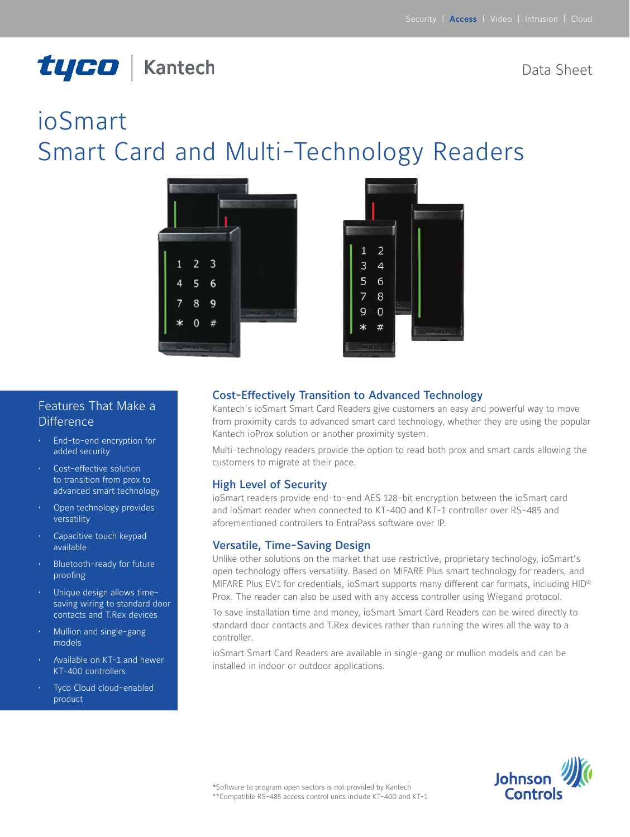# tyco | Kantech

Data Sheet

# ioSmart Smart Card and Multi-Technology Readers





## Features That Make a **Difference**

- • End-to-end encryption for added security
- Cost-effective solution to transition from prox to advanced smart technology
- Open technology provides versatility
- Capacitive touch keypad available
- Bluetooth-ready for future proofing
- Unique design allows timesaving wiring to standard door contacts and T.Rex devices
- Mullion and single-gang models
- Available on KT-1 and newer KT-400 controllers
- Tyco Cloud cloud-enabled product

#### Cost-Effectively Transition to Advanced Technology

Kantech's ioSmart Smart Card Readers give customers an easy and powerful way to move from proximity cards to advanced smart card technology, whether they are using the popular Kantech ioProx solution or another proximity system.

Multi-technology readers provide the option to read both prox and smart cards allowing the customers to migrate at their pace.

#### High Level of Security

ioSmart readers provide end-to-end AES 128-bit encryption between the ioSmart card and ioSmart reader when connected to KT-400 and KT-1 controller over RS-485 and aforementioned controllers to EntraPass software over IP.

#### Versatile, Time-Saving Design

Unlike other solutions on the market that use restrictive, proprietary technology, ioSmart's open technology offers versatility. Based on MIFARE Plus smart technology for readers, and MIFARE Plus EV1 for credentials, ioSmart supports many different car formats, including HID® Prox. The reader can also be used with any access controller using Wiegand protocol.

To save installation time and money, ioSmart Smart Card Readers can be wired directly to standard door contacts and T.Rex devices rather than running the wires all the way to a controller.

ioSmart Smart Card Readers are available in single-gang or mullion models and can be installed in indoor or outdoor applications.

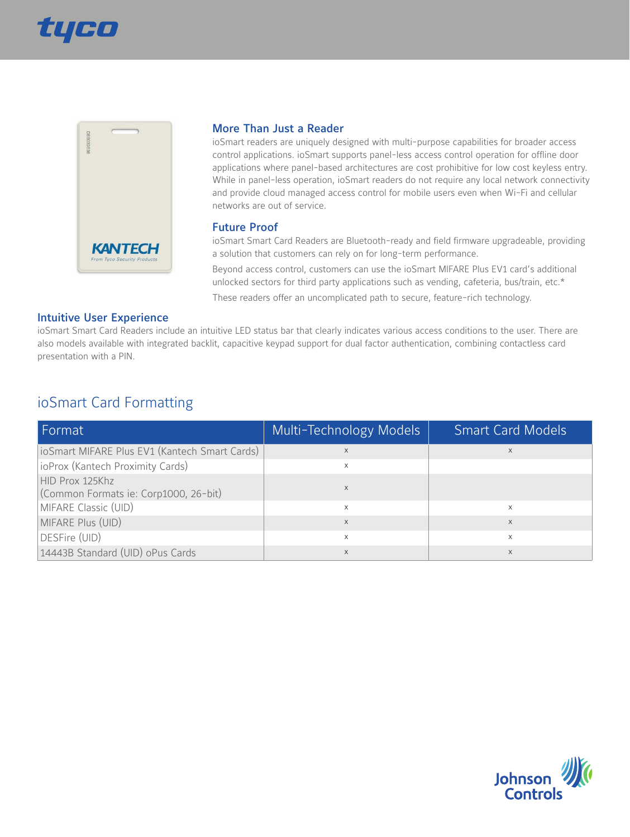



#### More Than Just a Reader

ioSmart readers are uniquely designed with multi-purpose capabilities for broader access control applications. ioSmart supports panel-less access control operation for offline door applications where panel-based architectures are cost prohibitive for low cost keyless entry. While in panel-less operation, ioSmart readers do not require any local network connectivity and provide cloud managed access control for mobile users even when Wi-Fi and cellular networks are out of service.

#### Future Proof

ioSmart Smart Card Readers are Bluetooth-ready and field firmware upgradeable, providing a solution that customers can rely on for long-term performance.

Beyond access control, customers can use the ioSmart MIFARE Plus EV1 card's additional unlocked sectors for third party applications such as vending, cafeteria, bus/train, etc.\*

These readers offer an uncomplicated path to secure, feature-rich technology.

#### Intuitive User Experience

ioSmart Smart Card Readers include an intuitive LED status bar that clearly indicates various access conditions to the user. There are also models available with integrated backlit, capacitive keypad support for dual factor authentication, combining contactless card presentation with a PIN.

## ioSmart Card Formatting

| Format                                                   | Multi-Technology Models | <b>Smart Card Models</b> |
|----------------------------------------------------------|-------------------------|--------------------------|
| ioSmart MIFARE Plus EV1 (Kantech Smart Cards)            |                         |                          |
| ioProx (Kantech Proximity Cards)                         | X                       |                          |
| HID Prox 125Khz<br>(Common Formats ie: Corp1000, 26-bit) |                         |                          |
| MIFARE Classic (UID)                                     | X                       | X                        |
| MIFARE Plus (UID)                                        | X                       | $\times$                 |
| DESFire (UID)                                            | X                       | $\times$                 |
| 14443B Standard (UID) oPus Cards                         | X                       | $\times$                 |

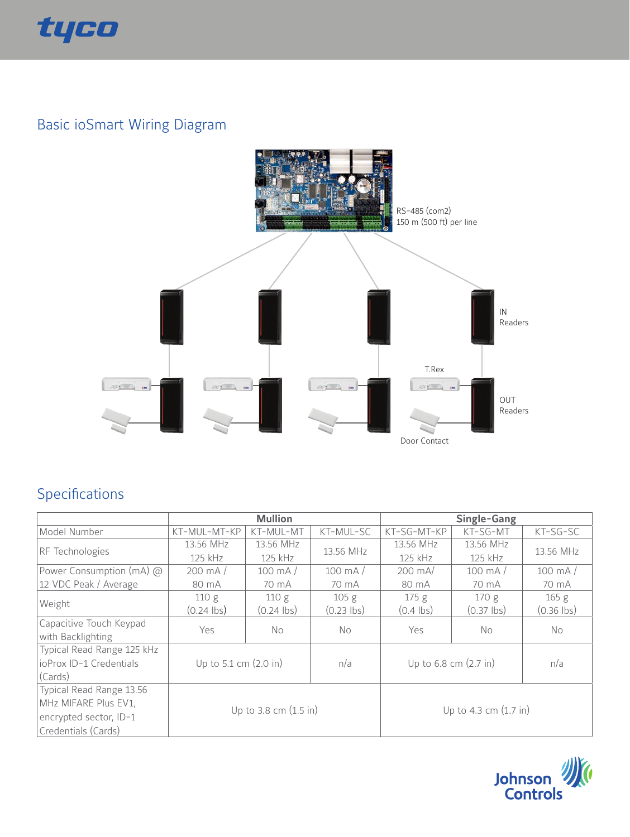

# Basic ioSmart Wiring Diagram



## Specifications

|                            | <b>Mullion</b>                  |                       |                  | Single-Gang                       |                  |                  |
|----------------------------|---------------------------------|-----------------------|------------------|-----------------------------------|------------------|------------------|
| Model Number               | KT-MUL-MT-KP                    | KT-MUL-MT             | KT-MUL-SC        | KT-SG-MT-KP                       | KT-SG-MT         | $KT-SG-SC$       |
| RF Technologies            | 13.56 MHz                       | 13.56 MHz             | 13.56 MHz        | 13.56 MHz                         | 13.56 MHz        | 13.56 MHz        |
|                            | 125 kHz                         | 125 kHz               |                  | 125 kHz                           | 125 kHz          |                  |
| Power Consumption (mA) @   | $200 \text{ mA}$                | $100 \text{ mA}$      | $100 \text{ mA}$ | $200 \text{ mA}$                  | $100 \text{ mA}$ | $100 \text{ mA}$ |
| 12 VDC Peak / Average      | 80 mA                           | 70 mA                 | 70 mA            | 80 mA                             | 70 mA            | 70 mA            |
|                            | 110 g                           | 110g                  | 105 <sub>g</sub> | 175 g                             | 170g             | 165 <sub>g</sub> |
| Weight                     | $(0.24$ lbs)                    | $(0.24$ lbs)          | $(0.23$ lbs)     | $(0.4$ lbs)                       | $(0.37$ lbs)     | $(0.36$ lbs)     |
| Capacitive Touch Keypad    | Yes                             | No.                   | No.              | Yes                               | No.              | No.              |
| with Backlighting          |                                 |                       |                  |                                   |                  |                  |
| Typical Read Range 125 kHz | Up to 5.1 cm $(2.0 \text{ in})$ |                       |                  | Up to $6.8$ cm $(2.7 \text{ in})$ |                  |                  |
| ioProx ID-1 Credentials    |                                 |                       | n/a              |                                   |                  | n/a              |
| (Cards)                    |                                 |                       |                  |                                   |                  |                  |
| Typical Read Range 13.56   |                                 |                       |                  |                                   |                  |                  |
| MHz MIFARE Plus EV1,       |                                 |                       |                  | Up to 4.3 cm (1.7 in)             |                  |                  |
| encrypted sector, ID-1     |                                 | Up to 3.8 cm (1.5 in) |                  |                                   |                  |                  |
| Credentials (Cards)        |                                 |                       |                  |                                   |                  |                  |

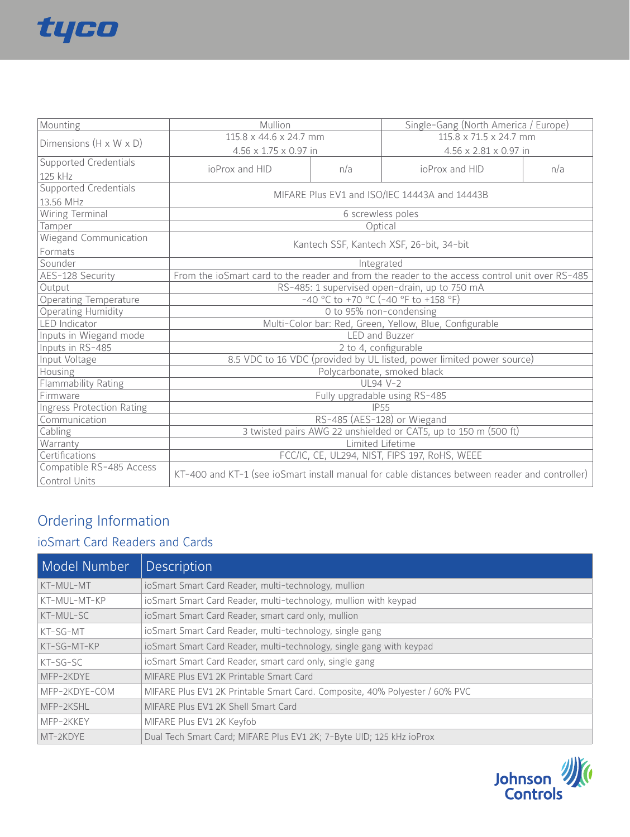

| Mounting                           | Mullion                                                                                        |     | Single-Gang (North America / Europe) |     |  |
|------------------------------------|------------------------------------------------------------------------------------------------|-----|--------------------------------------|-----|--|
| Dimensions $(H \times W \times D)$ | 115.8 x 44.6 x 24.7 mm                                                                         |     | 115.8 x 71.5 x 24.7 mm               |     |  |
|                                    | 4.56 x 1.75 x 0.97 in                                                                          |     | 4.56 x 2.81 x 0.97 in                |     |  |
| Supported Credentials              |                                                                                                |     |                                      |     |  |
| 125 kHz                            | ioProx and HID                                                                                 | n/a | ioProx and HID                       | n/a |  |
| Supported Credentials              | MIFARE Plus EV1 and ISO/IEC 14443A and 14443B                                                  |     |                                      |     |  |
| 13.56 MHz                          |                                                                                                |     |                                      |     |  |
| Wiring Terminal                    | 6 screwless poles                                                                              |     |                                      |     |  |
| Tamper                             | Optical                                                                                        |     |                                      |     |  |
| <b>Wiegand Communication</b>       |                                                                                                |     |                                      |     |  |
| Formats                            | Kantech SSF, Kantech XSF, 26-bit, 34-bit                                                       |     |                                      |     |  |
| Sounder                            | Integrated                                                                                     |     |                                      |     |  |
| AES-128 Security                   | From the ioSmart card to the reader and from the reader to the access control unit over RS-485 |     |                                      |     |  |
| Output                             | RS-485: 1 supervised open-drain, up to 750 mA                                                  |     |                                      |     |  |
| <b>Operating Temperature</b>       | -40 °C to +70 °C (-40 °F to +158 °F)                                                           |     |                                      |     |  |
| <b>Operating Humidity</b>          | O to 95% non-condensing                                                                        |     |                                      |     |  |
| <b>LED</b> Indicator               | Multi-Color bar: Red, Green, Yellow, Blue, Configurable                                        |     |                                      |     |  |
| Inputs in Wiegand mode             | <b>LED</b> and Buzzer                                                                          |     |                                      |     |  |
| Inputs in RS-485                   | 2 to 4, configurable                                                                           |     |                                      |     |  |
| Input Voltage                      | 8.5 VDC to 16 VDC (provided by UL listed, power limited power source)                          |     |                                      |     |  |
| Housing                            | Polycarbonate, smoked black                                                                    |     |                                      |     |  |
| Flammability Rating                | $UL94V-2$                                                                                      |     |                                      |     |  |
| Firmware                           | Fully upgradable using RS-485                                                                  |     |                                      |     |  |
| <b>Ingress Protection Rating</b>   | <b>IP55</b>                                                                                    |     |                                      |     |  |
| Communication                      | RS-485 (AES-128) or Wiegand                                                                    |     |                                      |     |  |
| Cabling                            | 3 twisted pairs AWG 22 unshielded or CAT5, up to 150 m (500 ft)                                |     |                                      |     |  |
| Warranty                           | Limited Lifetime                                                                               |     |                                      |     |  |
| Certifications                     | FCC/IC, CE, UL294, NIST, FIPS 197, RoHS, WEEE                                                  |     |                                      |     |  |
| Compatible RS-485 Access           |                                                                                                |     |                                      |     |  |
| Control Units                      | KT-400 and KT-1 (see ioSmart install manual for cable distances between reader and controller) |     |                                      |     |  |

## Ordering Information

## ioSmart Card Readers and Cards

| Model Number  | <b>Description</b>                                                          |
|---------------|-----------------------------------------------------------------------------|
| KT-MUL-MT     | ioSmart Smart Card Reader, multi-technology, mullion                        |
| KT-MUL-MT-KP  | ioSmart Smart Card Reader, multi-technology, mullion with keypad            |
| KT-MUL-SC     | ioSmart Smart Card Reader, smart card only, mullion                         |
| KT-SG-MT      | ioSmart Smart Card Reader, multi-technology, single gang                    |
| KT-SG-MT-KP   | ioSmart Smart Card Reader, multi-technology, single gang with keypad        |
| $KT-SG-SC$    | ioSmart Smart Card Reader, smart card only, single gang                     |
| MFP-2KDYE     | MIFARE Plus EV1 2K Printable Smart Card                                     |
| MFP-2KDYE-COM | MIFARE Plus EV1 2K Printable Smart Card. Composite, 40% Polyester / 60% PVC |
| MFP-2KSHL     | MIFARE Plus EV1 2K Shell Smart Card                                         |
| MFP-2KKEY     | MIFARE Plus EV1 2K Keyfob                                                   |
| MT-2KDYE      | Dual Tech Smart Card; MIFARE Plus EV1 2K; 7-Byte UID; 125 kHz ioProx        |

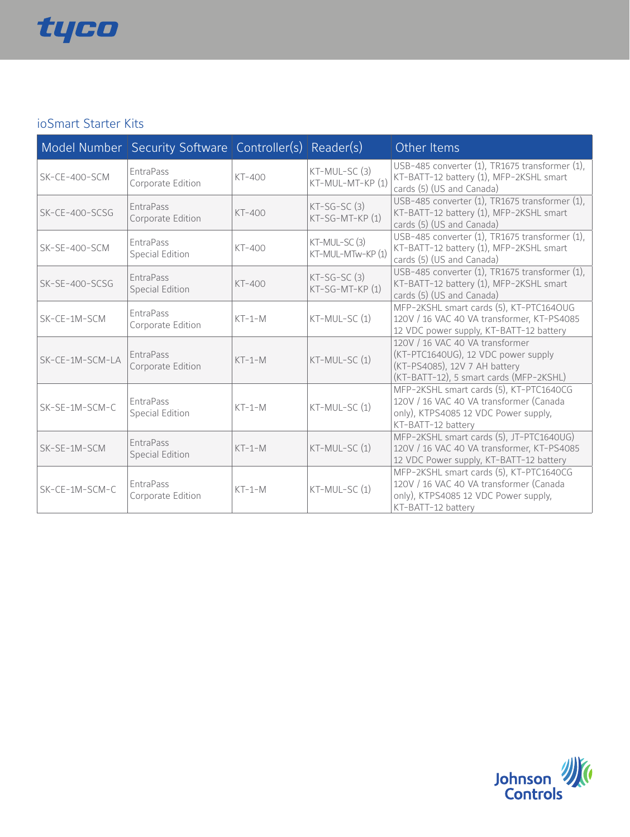

## ioSmart Starter Kits

|                 | Model Number Security Software Controller(s) Reader(s) |          |                                   | Other Items                                                                                                                                        |
|-----------------|--------------------------------------------------------|----------|-----------------------------------|----------------------------------------------------------------------------------------------------------------------------------------------------|
| $SK-CE-400-SCM$ | <b>EntraPass</b><br>Corporate Edition                  | $KT-400$ | KT-MUL-SC (3)<br>KT-MUL-MT-KP (1) | USB-485 converter (1), TR1675 transformer (1),<br>KT-BATT-12 battery (1), MFP-2KSHL smart<br>cards (5) (US and Canada)                             |
| SK-CE-400-SCSG  | <b>EntraPass</b><br>Corporate Edition                  | $KT-400$ | $KT-SG-SC(3)$<br>KT-SG-MT-KP (1)  | USB-485 converter (1), TR1675 transformer (1),<br>KT-BATT-12 battery (1), MFP-2KSHL smart<br>cards (5) (US and Canada)                             |
| $SK-SE-400-SCM$ | <b>EntraPass</b><br><b>Special Edition</b>             | $KT-400$ | KT-MUL-SC(3)<br>KT-MUL-MTw-KP (1) | USB-485 converter (1), TR1675 transformer (1),<br>KT-BATT-12 battery (1), MFP-2KSHL smart<br>cards (5) (US and Canada)                             |
| SK-SE-400-SCSG  | <b>EntraPass</b><br>Special Edition                    | $KT-400$ | $KT-SG-SC(3)$<br>KT-SG-MT-KP (1)  | USB-485 converter (1), TR1675 transformer (1),<br>KT-BATT-12 battery (1), MFP-2KSHL smart<br>cards (5) (US and Canada)                             |
| SK-CE-1M-SCM    | <b>EntraPass</b><br>Corporate Edition                  | $KT-1-M$ | $KT-MUL-SC(1)$                    | MFP-2KSHL smart cards (5), KT-PTC164OUG<br>120V / 16 VAC 40 VA transformer, KT-PS4085<br>12 VDC power supply, KT-BATT-12 battery                   |
| SK-CE-1M-SCM-LA | <b>EntraPass</b><br>Corporate Edition                  | $KT-1-M$ | KT-MUL-SC (1)                     | 120V / 16 VAC 40 VA transformer<br>(KT-PTC1640UG), 12 VDC power supply<br>(KT-PS4085), 12V 7 AH battery<br>(KT-BATT-12), 5 smart cards (MFP-2KSHL) |
| SK-SE-1M-SCM-C  | <b>EntraPass</b><br><b>Special Edition</b>             | $KT-1-M$ | $KT-MUL-SC(1)$                    | MFP-2KSHL smart cards (5), KT-PTC1640CG<br>120V / 16 VAC 40 VA transformer (Canada<br>only), KTPS4085 12 VDC Power supply,<br>KT-BATT-12 battery   |
| SK-SE-1M-SCM    | <b>EntraPass</b><br><b>Special Edition</b>             | $KT-1-M$ | KT-MUL-SC (1)                     | MFP-2KSHL smart cards (5), JT-PTC1640UG)<br>120V / 16 VAC 40 VA transformer, KT-PS4085<br>12 VDC Power supply, KT-BATT-12 battery                  |
| SK-CE-1M-SCM-C  | <b>EntraPass</b><br>Corporate Edition                  | $KT-1-M$ | KT-MUL-SC (1)                     | MFP-2KSHL smart cards (5), KT-PTC1640CG<br>120V / 16 VAC 40 VA transformer (Canada<br>only), KTPS4085 12 VDC Power supply,<br>KT-BATT-12 battery   |